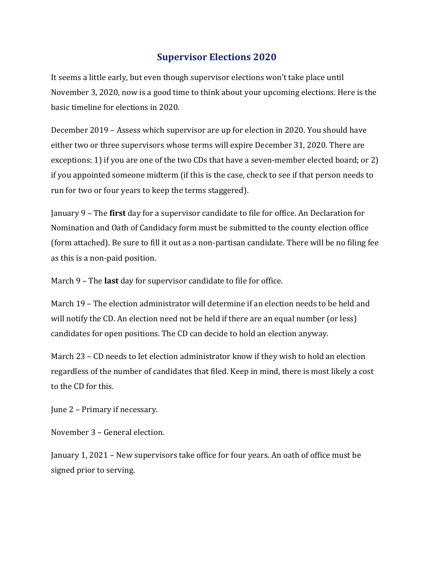## **Supervisor Elections 2020**

It seems a little early, but even though supervisor elections won't take place until November 3, 2020, now is a good time to think about your upcoming elections. Here is the basic timeline for elections in 2020.

December 2019 – Assess which supervisor are up for election in 2020. You should have either two or three supervisors whose terms will expire December 31, 2020. There are exceptions: 1) if you are one of the two CDs that have a seven-member elected board; or 2) if you appointed someone midterm (if this is the case, check to see if that person needs to run for two or four years to keep the terms staggered).

January 9 – The **first** day for a supervisor candidate to file for office. An Declaration for Nomination and Oath of Candidacy form must be submitted to the county election office (form attached). Be sure to fill it out as a non-partisan candidate. There will be no filing fee as this is a non-paid position.

March 9 – The **last** day for supervisor candidate to file for office.

March 19 – The election administrator will determine if an election needs to be held and will notify the CD. An election need not be held if there are an equal number (or less) candidates for open positions. The CD can decide to hold an election anyway.

March 23 – CD needs to let election administrator know if they wish to hold an election regardless of the number of candidates that filed. Keep in mind, there is most likely a cost to the CD for this.

June 2 – Primary if necessary.

November 3 – General election.

January 1, 2021 – New supervisors take office for four years. An oath of office must be signed prior to serving.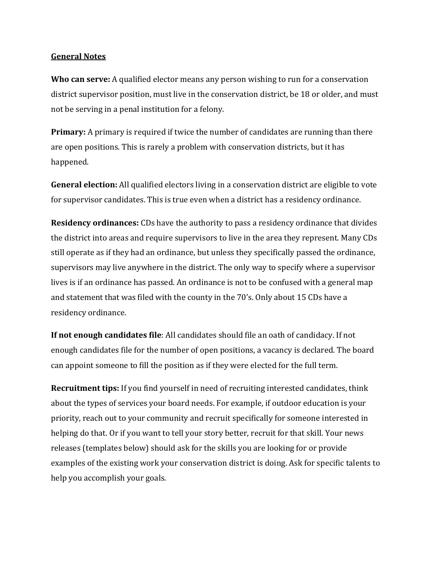## **General Notes**

**Who can serve:** A qualified elector means any person wishing to run for a conservation district supervisor position, must live in the conservation district, be 18 or older, and must not be serving in a penal institution for a felony.

**Primary:** A primary is required if twice the number of candidates are running than there are open positions. This is rarely a problem with conservation districts, but it has happened.

**General election:** All qualified electors living in a conservation district are eligible to vote for supervisor candidates. This is true even when a district has a residency ordinance.

**Residency ordinances:** CDs have the authority to pass a residency ordinance that divides the district into areas and require supervisors to live in the area they represent. Many CDs still operate as if they had an ordinance, but unless they specifically passed the ordinance, supervisors may live anywhere in the district. The only way to specify where a supervisor lives is if an ordinance has passed. An ordinance is not to be confused with a general map and statement that was filed with the county in the 70's. Only about 15 CDs have a residency ordinance.

**If not enough candidates file**: All candidates should file an oath of candidacy. If not enough candidates file for the number of open positions, a vacancy is declared. The board can appoint someone to fill the position as if they were elected for the full term.

**Recruitment tips:** If you find yourself in need of recruiting interested candidates, think about the types of services your board needs. For example, if outdoor education is your priority, reach out to your community and recruit specifically for someone interested in helping do that. Or if you want to tell your story better, recruit for that skill. Your news releases (templates below) should ask for the skills you are looking for or provide examples of the existing work your conservation district is doing. Ask for specific talents to help you accomplish your goals.